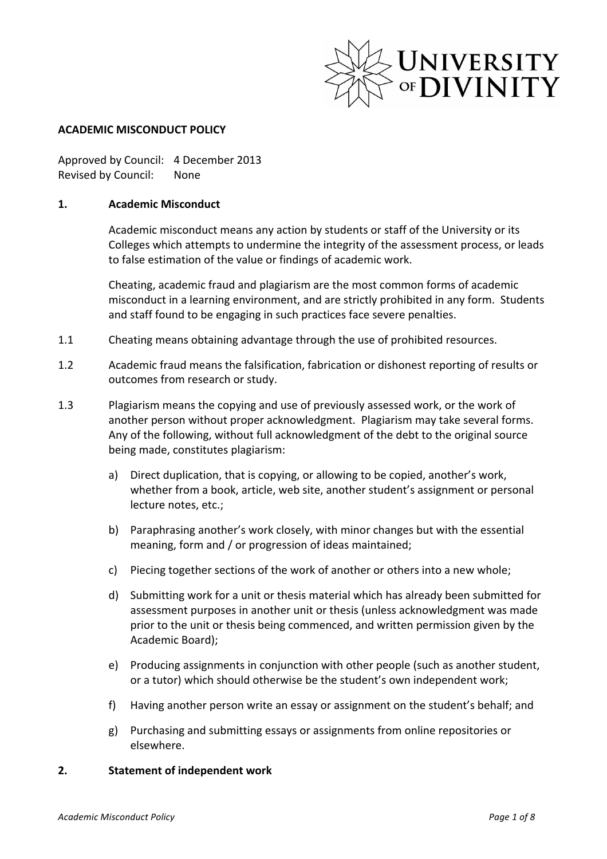

#### **ACADEMIC MISCONDUCT POLICY**

Approved by Council: 4 December 2013 Revised by Council: None

#### 1. **Academic Misconduct**

Academic misconduct means any action by students or staff of the University or its Colleges which attempts to undermine the integrity of the assessment process, or leads to false estimation of the value or findings of academic work.

Cheating, academic fraud and plagiarism are the most common forms of academic misconduct in a learning environment, and are strictly prohibited in any form. Students and staff found to be engaging in such practices face severe penalties.

- 1.1 Cheating means obtaining advantage through the use of prohibited resources.
- 1.2 Academic fraud means the falsification, fabrication or dishonest reporting of results or outcomes from research or study.
- 1.3 Plagiarism means the copying and use of previously assessed work, or the work of another person without proper acknowledgment. Plagiarism may take several forms. Any of the following, without full acknowledgment of the debt to the original source being made, constitutes plagiarism:
	- a) Direct duplication, that is copying, or allowing to be copied, another's work. whether from a book, article, web site, another student's assignment or personal lecture notes, etc.;
	- b) Paraphrasing another's work closely, with minor changes but with the essential meaning, form and / or progression of ideas maintained;
	- c) Piecing together sections of the work of another or others into a new whole;
	- d) Submitting work for a unit or thesis material which has already been submitted for assessment purposes in another unit or thesis (unless acknowledgment was made prior to the unit or thesis being commenced, and written permission given by the Academic Board);
	- e) Producing assignments in conjunction with other people (such as another student, or a tutor) which should otherwise be the student's own independent work;
	- f) Having another person write an essay or assignment on the student's behalf; and
	- g) Purchasing and submitting essays or assignments from online repositories or elsewhere.

#### **2.** Statement of independent work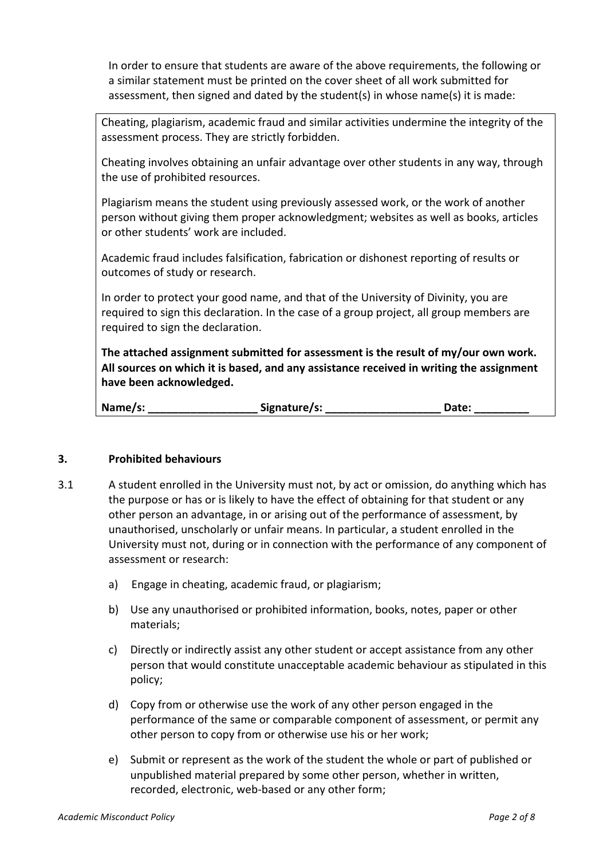In order to ensure that students are aware of the above requirements, the following or a similar statement must be printed on the cover sheet of all work submitted for assessment, then signed and dated by the student(s) in whose name(s) it is made:

Cheating, plagiarism, academic fraud and similar activities undermine the integrity of the assessment process. They are strictly forbidden.

Cheating involves obtaining an unfair advantage over other students in any way, through the use of prohibited resources.

Plagiarism means the student using previously assessed work, or the work of another person without giving them proper acknowledgment; websites as well as books, articles or other students' work are included.

Academic fraud includes falsification, fabrication or dishonest reporting of results or outcomes of study or research.

In order to protect your good name, and that of the University of Divinity, you are required to sign this declaration. In the case of a group project, all group members are required to sign the declaration.

The attached assignment submitted for assessment is the result of my/our own work. All sources on which it is based, and any assistance received in writing the assignment have been acknowledged.

| Name/s: | Signature/s: | Date: |  |
|---------|--------------|-------|--|
|---------|--------------|-------|--|

## **3.** Prohibited behaviours

- 3.1 A student enrolled in the University must not, by act or omission, do anything which has the purpose or has or is likely to have the effect of obtaining for that student or any other person an advantage, in or arising out of the performance of assessment, by unauthorised, unscholarly or unfair means. In particular, a student enrolled in the University must not, during or in connection with the performance of any component of assessment or research:
	- a) Engage in cheating, academic fraud, or plagiarism;
	- b) Use any unauthorised or prohibited information, books, notes, paper or other materials;
	- c) Directly or indirectly assist any other student or accept assistance from any other person that would constitute unacceptable academic behaviour as stipulated in this policy;
	- d) Copy from or otherwise use the work of any other person engaged in the performance of the same or comparable component of assessment, or permit any other person to copy from or otherwise use his or her work;
	- e) Submit or represent as the work of the student the whole or part of published or unpublished material prepared by some other person, whether in written, recorded, electronic, web-based or any other form;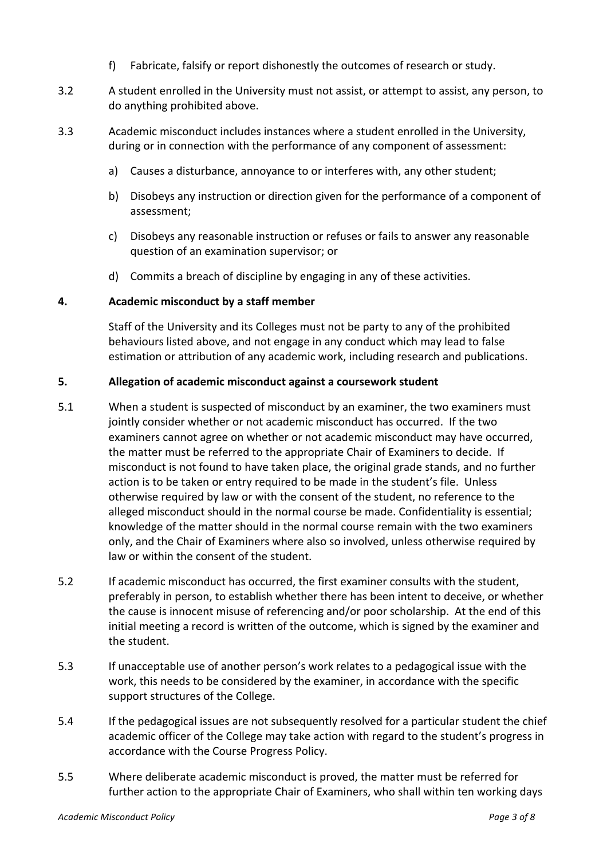- f) Fabricate, falsify or report dishonestly the outcomes of research or study.
- 3.2 A student enrolled in the University must not assist, or attempt to assist, any person, to do anything prohibited above.
- 3.3 Academic misconduct includes instances where a student enrolled in the University, during or in connection with the performance of any component of assessment:
	- a) Causes a disturbance, annoyance to or interferes with, any other student;
	- b) Disobeys any instruction or direction given for the performance of a component of assessment;
	- c) Disobeys any reasonable instruction or refuses or fails to answer any reasonable question of an examination supervisor; or
	- d) Commits a breach of discipline by engaging in any of these activities.

## **4. Academic misconduct by a staff member**

Staff of the University and its Colleges must not be party to any of the prohibited behaviours listed above, and not engage in any conduct which may lead to false estimation or attribution of any academic work, including research and publications.

# **5.** Allegation of academic misconduct against a coursework student

- 5.1 When a student is suspected of misconduct by an examiner, the two examiners must jointly consider whether or not academic misconduct has occurred. If the two examiners cannot agree on whether or not academic misconduct may have occurred, the matter must be referred to the appropriate Chair of Examiners to decide. If misconduct is not found to have taken place, the original grade stands, and no further action is to be taken or entry required to be made in the student's file. Unless otherwise required by law or with the consent of the student, no reference to the alleged misconduct should in the normal course be made. Confidentiality is essential; knowledge of the matter should in the normal course remain with the two examiners only, and the Chair of Examiners where also so involved, unless otherwise required by law or within the consent of the student.
- 5.2 If academic misconduct has occurred, the first examiner consults with the student, preferably in person, to establish whether there has been intent to deceive, or whether the cause is innocent misuse of referencing and/or poor scholarship. At the end of this initial meeting a record is written of the outcome, which is signed by the examiner and the student.
- 5.3 If unacceptable use of another person's work relates to a pedagogical issue with the work, this needs to be considered by the examiner, in accordance with the specific support structures of the College.
- 5.4 If the pedagogical issues are not subsequently resolved for a particular student the chief academic officer of the College may take action with regard to the student's progress in accordance with the Course Progress Policy.
- 5.5 Where deliberate academic misconduct is proved, the matter must be referred for further action to the appropriate Chair of Examiners, who shall within ten working days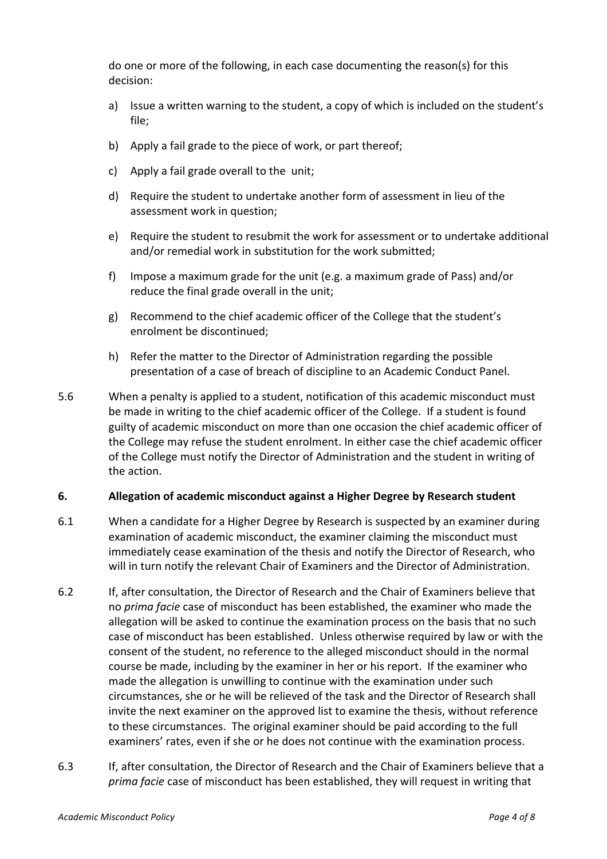do one or more of the following, in each case documenting the reason(s) for this decision: 

- a) Issue a written warning to the student, a copy of which is included on the student's file;
- b) Apply a fail grade to the piece of work, or part thereof;
- c) Apply a fail grade overall to the unit;
- d) Require the student to undertake another form of assessment in lieu of the assessment work in question;
- e) Require the student to resubmit the work for assessment or to undertake additional and/or remedial work in substitution for the work submitted;
- f) Impose a maximum grade for the unit (e.g. a maximum grade of Pass) and/or reduce the final grade overall in the unit;
- g) Recommend to the chief academic officer of the College that the student's enrolment be discontinued;
- h) Refer the matter to the Director of Administration regarding the possible presentation of a case of breach of discipline to an Academic Conduct Panel.
- 5.6 When a penalty is applied to a student, notification of this academic misconduct must be made in writing to the chief academic officer of the College. If a student is found guilty of academic misconduct on more than one occasion the chief academic officer of the College may refuse the student enrolment. In either case the chief academic officer of the College must notify the Director of Administration and the student in writing of the action.

## **6.** Allegation of academic misconduct against a Higher Degree by Research student

- 6.1 When a candidate for a Higher Degree by Research is suspected by an examiner during examination of academic misconduct, the examiner claiming the misconduct must immediately cease examination of the thesis and notify the Director of Research, who will in turn notify the relevant Chair of Examiners and the Director of Administration.
- 6.2 If, after consultation, the Director of Research and the Chair of Examiners believe that no *prima facie* case of misconduct has been established, the examiner who made the allegation will be asked to continue the examination process on the basis that no such case of misconduct has been established. Unless otherwise required by law or with the consent of the student, no reference to the alleged misconduct should in the normal course be made, including by the examiner in her or his report. If the examiner who made the allegation is unwilling to continue with the examination under such circumstances, she or he will be relieved of the task and the Director of Research shall invite the next examiner on the approved list to examine the thesis, without reference to these circumstances. The original examiner should be paid according to the full examiners' rates, even if she or he does not continue with the examination process.
- 6.3 If, after consultation, the Director of Research and the Chair of Examiners believe that a *prima facie* case of misconduct has been established, they will request in writing that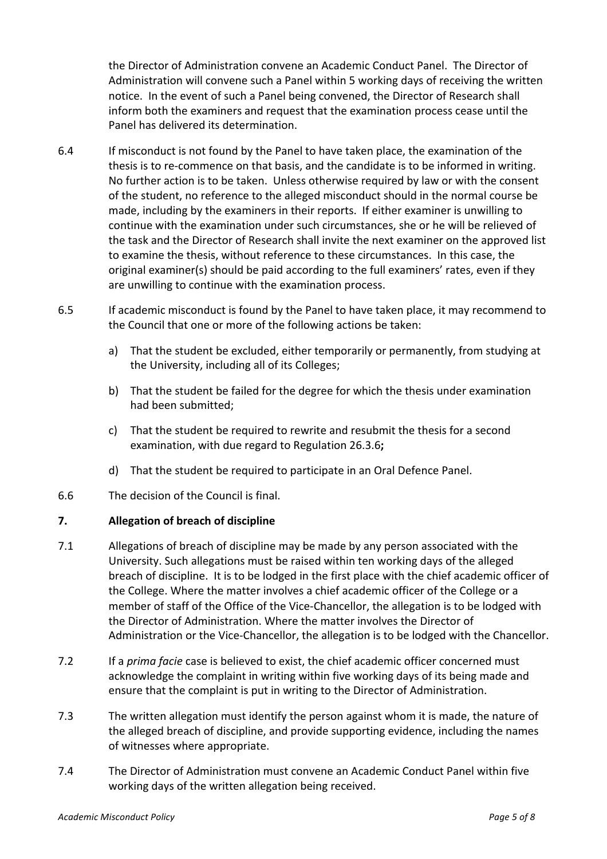the Director of Administration convene an Academic Conduct Panel. The Director of Administration will convene such a Panel within 5 working days of receiving the written notice. In the event of such a Panel being convened, the Director of Research shall inform both the examiners and request that the examination process cease until the Panel has delivered its determination.

- 6.4 If misconduct is not found by the Panel to have taken place, the examination of the thesis is to re-commence on that basis, and the candidate is to be informed in writing. No further action is to be taken. Unless otherwise required by law or with the consent of the student, no reference to the alleged misconduct should in the normal course be made, including by the examiners in their reports. If either examiner is unwilling to continue with the examination under such circumstances, she or he will be relieved of the task and the Director of Research shall invite the next examiner on the approved list to examine the thesis, without reference to these circumstances. In this case, the original examiner(s) should be paid according to the full examiners' rates, even if they are unwilling to continue with the examination process.
- 6.5 If academic misconduct is found by the Panel to have taken place, it may recommend to the Council that one or more of the following actions be taken:
	- a) That the student be excluded, either temporarily or permanently, from studying at the University, including all of its Colleges;
	- b) That the student be failed for the degree for which the thesis under examination had been submitted;
	- c) That the student be required to rewrite and resubmit the thesis for a second examination, with due regard to Regulation 26.3.6;
	- d) That the student be required to participate in an Oral Defence Panel.
- 6.6 The decision of the Council is final.

## **7. Allegation of breach of discipline**

- 7.1 Allegations of breach of discipline may be made by any person associated with the University. Such allegations must be raised within ten working days of the alleged breach of discipline. It is to be lodged in the first place with the chief academic officer of the College. Where the matter involves a chief academic officer of the College or a member of staff of the Office of the Vice-Chancellor, the allegation is to be lodged with the Director of Administration. Where the matter involves the Director of Administration or the Vice-Chancellor, the allegation is to be lodged with the Chancellor.
- 7.2 If a *prima facie* case is believed to exist, the chief academic officer concerned must acknowledge the complaint in writing within five working days of its being made and ensure that the complaint is put in writing to the Director of Administration.
- 7.3 The written allegation must identify the person against whom it is made, the nature of the alleged breach of discipline, and provide supporting evidence, including the names of witnesses where appropriate.
- 7.4 The Director of Administration must convene an Academic Conduct Panel within five working days of the written allegation being received.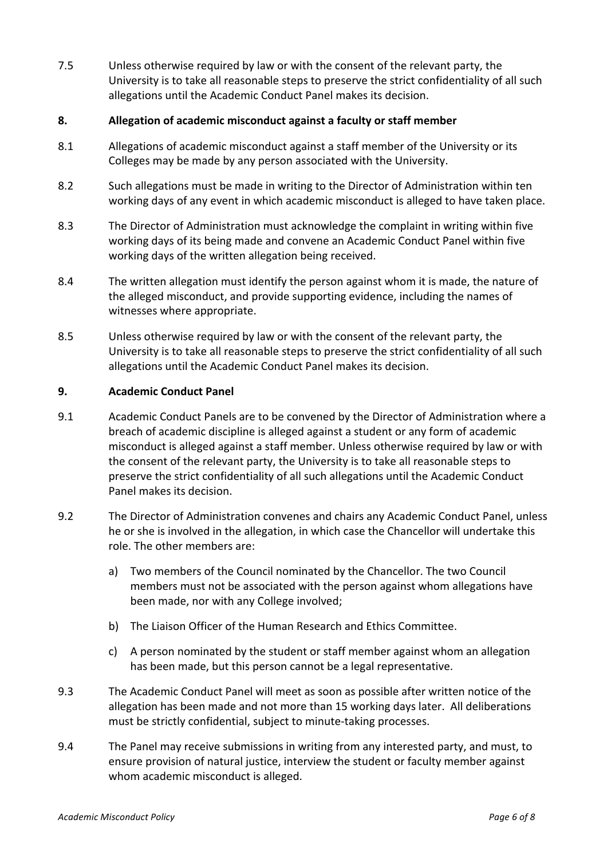7.5 Unless otherwise required by law or with the consent of the relevant party, the University is to take all reasonable steps to preserve the strict confidentiality of all such allegations until the Academic Conduct Panel makes its decision.

## **8.** Allegation of academic misconduct against a faculty or staff member

- 8.1 Allegations of academic misconduct against a staff member of the University or its Colleges may be made by any person associated with the University.
- 8.2 Such allegations must be made in writing to the Director of Administration within ten working days of any event in which academic misconduct is alleged to have taken place.
- 8.3 The Director of Administration must acknowledge the complaint in writing within five working days of its being made and convene an Academic Conduct Panel within five working days of the written allegation being received.
- 8.4 The written allegation must identify the person against whom it is made, the nature of the alleged misconduct, and provide supporting evidence, including the names of witnesses where appropriate.
- 8.5 Unless otherwise required by law or with the consent of the relevant party, the University is to take all reasonable steps to preserve the strict confidentiality of all such allegations until the Academic Conduct Panel makes its decision.

#### **9. Academic Conduct Panel**

- 9.1 Academic Conduct Panels are to be convened by the Director of Administration where a breach of academic discipline is alleged against a student or any form of academic misconduct is alleged against a staff member. Unless otherwise required by law or with the consent of the relevant party, the University is to take all reasonable steps to preserve the strict confidentiality of all such allegations until the Academic Conduct Panel makes its decision.
- 9.2 The Director of Administration convenes and chairs any Academic Conduct Panel, unless he or she is involved in the allegation, in which case the Chancellor will undertake this role. The other members are:
	- a) Two members of the Council nominated by the Chancellor. The two Council members must not be associated with the person against whom allegations have been made, nor with any College involved;
	- b) The Liaison Officer of the Human Research and Ethics Committee.
	- c) A person nominated by the student or staff member against whom an allegation has been made, but this person cannot be a legal representative.
- 9.3 The Academic Conduct Panel will meet as soon as possible after written notice of the allegation has been made and not more than 15 working days later. All deliberations must be strictly confidential, subject to minute-taking processes.
- 9.4 The Panel may receive submissions in writing from any interested party, and must, to ensure provision of natural justice, interview the student or faculty member against whom academic misconduct is alleged.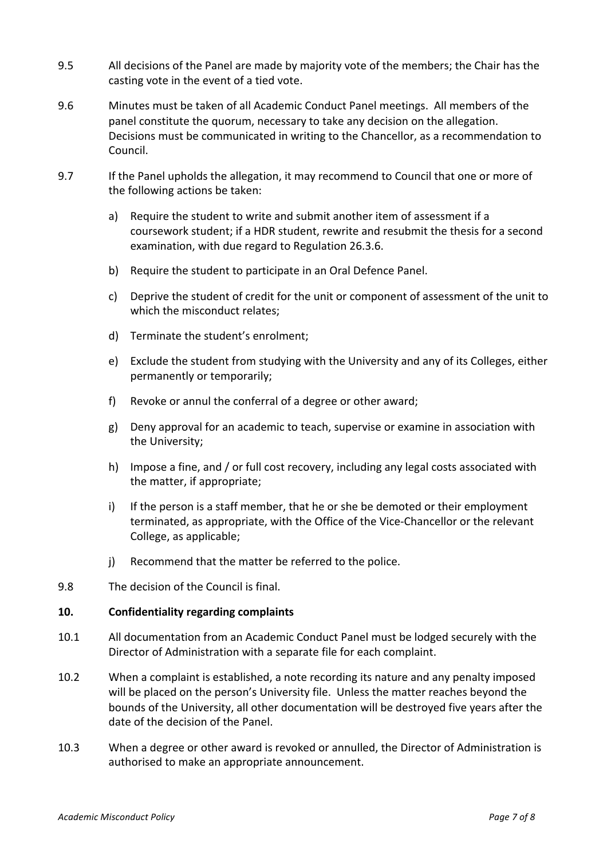- 9.5 All decisions of the Panel are made by majority vote of the members; the Chair has the casting vote in the event of a tied vote.
- 9.6 Minutes must be taken of all Academic Conduct Panel meetings. All members of the panel constitute the quorum, necessary to take any decision on the allegation. Decisions must be communicated in writing to the Chancellor, as a recommendation to Council.
- 9.7 If the Panel upholds the allegation, it may recommend to Council that one or more of the following actions be taken:
	- a) Require the student to write and submit another item of assessment if a coursework student; if a HDR student, rewrite and resubmit the thesis for a second examination, with due regard to Regulation 26.3.6.
	- b) Require the student to participate in an Oral Defence Panel.
	- c) Deprive the student of credit for the unit or component of assessment of the unit to which the misconduct relates;
	- d) Terminate the student's enrolment;
	- e) Exclude the student from studying with the University and any of its Colleges, either permanently or temporarily;
	- f) Revoke or annul the conferral of a degree or other award;
	- g) Deny approval for an academic to teach, supervise or examine in association with the University:
	- h) Impose a fine, and / or full cost recovery, including any legal costs associated with the matter, if appropriate;
	- i) If the person is a staff member, that he or she be demoted or their employment terminated, as appropriate, with the Office of the Vice-Chancellor or the relevant College, as applicable;
	- j) Recommend that the matter be referred to the police.
- 9.8 The decision of the Council is final.

#### **10. Confidentiality regarding complaints**

- 10.1 All documentation from an Academic Conduct Panel must be lodged securely with the Director of Administration with a separate file for each complaint.
- 10.2 When a complaint is established, a note recording its nature and any penalty imposed will be placed on the person's University file. Unless the matter reaches beyond the bounds of the University, all other documentation will be destroyed five years after the date of the decision of the Panel.
- 10.3 When a degree or other award is revoked or annulled, the Director of Administration is authorised to make an appropriate announcement.